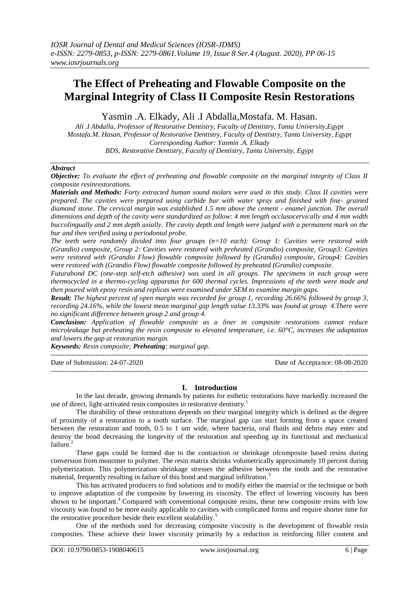# **The Effect of Preheating and Flowable Composite on the Marginal Integrity of Class II Composite Resin Restorations**

Yasmin .A. Elkady, Ali .I Abdalla,Mostafa. M. Hasan.

*Ali .I Abdalla, Professor of Restorative Dentistry, Faculty of Dentistry, Tanta University,Egypt Mostafa.M. Hasan, Professor of Restorative Dentistry, Faculty of Dentistry, Tanta University, Egypt Corresponding Author: Yasmin .A. Elkady BDS, Restorative Dentistry, Faculty of Dentistry, Tanta University, Egypt*

#### *Abstract*

*Objective: To evaluate the effect of preheating and flowable composite on the marginal integrity of Class II composite resinrestorations.*

*Materials and Methods: Forty extracted human sound molars were used in this study. Class II cavities were prepared. The cavities were prepared using carbide bur with water spray and finished with fine- grained diamond stone. The cervical margin was established 1.5 mm above the cement - enamel junction. The overall dimensions and depth of the cavity were standardized as follow: 4 mm length occlusocervically and 4 mm width buccolingually and 2 mm depth axially. The cavity depth and length were judged with a permanent mark on the bur and then verified using a periodontal probe.*

*The teeth were randomly divided into four groups (n=10 each): Group 1: Cavities were restored with (Grandio) composite, Group 2: Cavities were restored with preheated (Grandio) composite, Group3: Cavities were restored with (Grandio Flow) flowable composite followed by (Grandio) composite, Group4: Cavities were restored with (Grandio Flow) flowable composite followed by preheated (Grandio) composite.*

*Futurabond DC (one-step self-etch adhesive) was used in all groups. The specimens in each group were thermocycled in a thermo-cycling apparatus for 600 thermal cycles. Impressions of the teeth were made and then poured with epoxy resin and replicas were examined under SEM to examine margin gaps.*

*Result: The highest percent of open margin was recorded for group 1, recording 26.66% followed by group 3, recording 24.16%, while the lowest mean marginal gap length value 13.33% was found at group 4.There were no significant difference between group 2 and group 4.*

*Conclusion: Application of flowable composite as a liner in composite restorations cannot reduce microleakage but preheating the resin composite to elevated temperature, i.e. 60°C, increases the adaptation and lowers the gap at restoration margin.*

*Keywords: Resin composite; Preheating; marginal gap.*

--------------------------------------------------------------------------------------------------------------------------------------- Date of Submission: 24-07-2020 Date of Acceptance: 08-08-2020

---------------------------------------------------------------------------------------------------------------------------------------

#### **I. Introduction**

In the last decade, growing demands by patients for esthetic restorations have markedly increased the use of direct, light-activated resin composites in restorative dentistry.<sup>1</sup>

The durability of these restorations depends on their marginal integrity which is defined as the degree of proximity of a restoration to a tooth surface. The marginal gap can start forming from a space created between the restoration and tooth, 0.5 to 1 um wide, where bacteria, oral fluids and debris may enter and destroy the bond decreasing the longevity of the restoration and speeding up its functional and mechanical failure.

These gaps could be formed due to the contraction or shrinkage ofcomposite based resins during conversion from monomer to polymer. The resin matrix shrinks volumetrically approximately 10 percent during polymerization. This polymerization shrinkage stresses the adhesive between the tooth and the restorative material, frequently resulting in failure of this bond and marginal infiltration.<sup>3</sup>

This has activated producers to find solutions and to modify either the material or the technique or both to improve adaptation of the composite by lowering its viscosity. The effect of lowering viscosity has been shown to be important.<sup>4</sup> Compared with conventional composite resins, these new composite resins with low viscosity was found to be more easily applicable to cavities with complicated forms and require shorter time for the restorative procedure beside their excellent sealability. 5

One of the methods used for decreasing composite viscosity is the development of flowable resin composites. These achieve their lower viscosity primarily by a reduction in reinforcing filler content and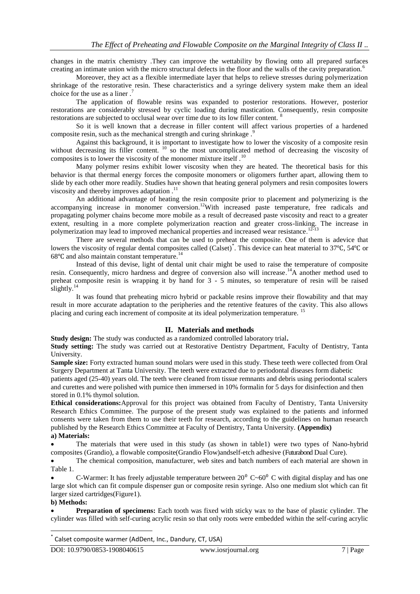changes in the matrix chemistry .They can improve the wettability by flowing onto all prepared surfaces creating an intimate union with the micro structural defects in the floor and the walls of the cavity preparation.<sup>6</sup>

Moreover, they act as a flexible intermediate layer that helps to relieve stresses during polymerization shrinkage of the restorative resin. These characteristics and a syringe delivery system make them an ideal choice for the use as a liner.

The application of flowable resins was expanded to posterior restorations. However, posterior restorations are considerably stressed by cyclic loading during mastication. Consequently, resin composite restorations are subjected to occlusal wear over time due to its low filler content. <sup>8</sup>

So it is well known that a decrease in filler content will affect various properties of a hardened composite resin, such as the mechanical strength and curing shrinkage.<sup>9</sup>

Against this background, it is important to investigate how to lower the viscosity of a composite resin without decreasing its filler content.  $\frac{10}{10}$  so the most uncomplicated method of decreasing the viscosity of composites is to lower the viscosity of the monomer mixture itself.<sup>10</sup>

Many polymer resins exhibit lower viscosity when they are heated. The theoretical basis for this behavior is that thermal energy forces the composite monomers or oligomers further apart, allowing them to slide by each other more readily. Studies have shown that heating general polymers and resin composites lowers viscosity and thereby improves adaptation .<sup>11</sup>

An additional advantage of heating the resin composite prior to placement and polymerizing is the accompanying increase in monomer conversion.<sup>12</sup>With increased paste temperature, free radicals and propagating polymer chains become more mobile as a result of decreased paste viscosity and react to a greater extent, resulting in a more complete polymerization reaction and greater cross-linking. The increase in polymerization may lead to improved mechanical properties and increased wear resistance.<sup>12-13</sup>

There are several methods that can be used to preheat the composite. One of them is adevice that lowers the viscosity of regular dental composites called (Calset)<sup>\*</sup>. This device can heat material to 37℃, 54℃ or  $68^{\circ}$ C and also maintain constant temperature.<sup>14</sup>

Instead of this devise, light of dental unit chair might be used to raise the temperature of composite resin. Consequently, micro hardness and degree of conversion also will increase.<sup>14</sup>A another method used to preheat composite resin is wrapping it by hand for 3 - 5 minutes, so temperature of resin will be raised slightly.<sup>14</sup>

It was found that preheating micro hybrid or packable resins improve their flowability and that may result in more accurate adaptation to the peripheries and the retentive features of the cavity. This also allows placing and curing each increment of composite at its ideal polymerization temperature.<sup>1</sup>

#### **II. Materials and methods**

**Study design:** The study was conducted as a randomized controlled laboratory trial**.**

**Study setting:** The study was carried out at Restorative Dentistry Department, Faculty of Dentistry, Tanta University.

**Sample size:** Forty extracted human sound molars were used in this study. These teeth were collected from Oral Surgery Department at Tanta University. The teeth were extracted due to periodontal diseases form diabetic

patients aged (25-40) years old. The teeth were cleaned from tissue remnants and debris using periodontal scalers and curettes and were polished with pumice then immersed in 10% formalin for 5 days for disinfection and then stored in 0.1% thymol solution.

**Ethical considerations:**Approval for this project was obtained from Faculty of Dentistry, Tanta University Research Ethics Committee. The purpose of the present study was explained to the patients and informed consents were taken from them to use their teeth for research, according to the guidelines on human research published by the Research Ethics Committee at Faculty of Dentistry, Tanta University. **(Appendix) a) Materials:**

 The materials that were used in this study (as shown in table1) were two types of Nano-hybrid composites (Grandio), a flowable composite(Grandio Flow)andself-etch adhesive (Futurabond Dual Cure).

 The chemical composition, manufacturer, web sites and batch numbers of each material are shown in Table 1.

C-Warmer: It has freely adjustable temperature between  $20^{\circ}$  C $\sim 60^{\circ}$  C with digital display and has one large slot which can fit compule dispenser gun or composite resin syringe. Also one medium slot which can fit larger sized cartridges(Figure1).

#### **b) Methods:**

**.** 

 **Preparation of specimens:** Each tooth was fixed with sticky wax to the base of plastic cylinder. The cylinder was filled with self-curing acrylic resin so that only roots were embedded within the self-curing acrylic

<sup>\*</sup> Calset composite warmer (AdDent, Inc., Dandury, CT, USA)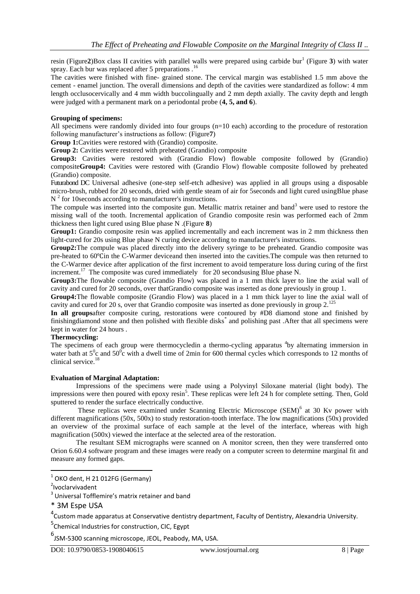resin (Figure2)Box class II cavities with parallel walls were prepared using carbide bur<sup>1</sup> (Figure 3) with water spray. Each bur was replaced after 5 preparations  $1<sup>6</sup>$ 

The cavities were finished with fine- grained stone. The cervical margin was established 1.5 mm above the cement - enamel junction. The overall dimensions and depth of the cavities were standardized as follow: 4 mm length occlusocervically and 4 mm width buccolingually and 2 mm depth axially. The cavity depth and length were judged with a permanent mark on a periodontal probe (**4, 5, and 6**).

#### **Grouping of specimens:**

All specimens were randomly divided into four groups (n=10 each) according to the procedure of restoration following manufacturer's instructions as follow: (Figure**7**)

**Group 1:**Cavities were restored with (Grandio) composite.

**Group 2:** Cavities were restored with preheated (Grandio) composite

Group3: Cavities were restored with (Grandio Flow) flowable composite followed by (Grandio) composite**Group4:** Cavities were restored with (Grandio Flow) flowable composite followed by preheated (Grandio) composite.

Futurabond DC Universal adhesive (one-step self-etch adhesive) was applied in all groups using a disposable micro-brush, rubbed for 20 seconds, dried with gentle steam of air for 5seconds and light cured usingBlue phase  $N<sup>2</sup>$  for 10 seconds according to manufacturer's instructions.

The compule was inserted into the composite gun. Metallic matrix retainer and band<sup>3</sup> were used to restore the missing wall of the tooth. Incremental application of Grandio composite resin was performed each of 2mm thickness then light cured using Blue phase N .(Figure **8**)

**Group1:** Grandio composite resin was applied incrementally and each increment was in 2 mm thickness then light-cured for 20s using Blue phase N curing device according to manufacturer's instructions.

**Group2:**The compule was placed directly into the delivery syringe to be preheated. Grandio composite was pre-heated to 60℃in the C-Warmer deviceand then inserted into the cavities.The compule was then returned to the C-Warmer device after application of the first increment to avoid temperature loss during curing of the first increment.<sup>17</sup> The composite was cured immediately for 20 secondsusing Blue phase N.

**Group3:**The flowable composite (Grandio Flow) was placed in a 1 mm thick layer to line the axial wall of cavity and cured for 20 seconds, over thatGrandio composite was inserted as done previously in group 1.

**Group4:**The flowable composite (Grandio Flow) was placed in a 1 mm thick layer to line the axial wall of cavity and cured for 20 s, over that Grandio composite was inserted as done previously in group 2.<sup>125</sup>

**In all groups**after composite curing, restorations were contoured by #D8 diamond stone and finished by finishingdiamond stone and then polished with flexible disks<sup>\*</sup> and polishing past .After that all specimens were kept in water for 24 hours .

#### **Thermocycling:**

The specimens of each group were thermocycledin a thermo-cycling apparatus <sup>4</sup>by alternating immersion in water bath at  $5^\circ$ c and  $50^\circ$ c with a dwell time of 2min for 600 thermal cycles which corresponds to 12 months of clinical service.<sup>18</sup>

#### **Evaluation of Marginal Adaptation:**

Impressions of the specimens were made using a Polyvinyl Siloxane material (light body). The impressions were then poured with epoxy resin<sup>5</sup>. These replicas were left 24 h for complete setting. Then, Gold sputtered to render the surface electrically conductive.

These replicas were examined under Scanning Electric Microscope (SEM)<sup>6</sup> at 30 Kv power with different magnifications (50x, 500x) to study restoration-tooth interface. The low magnifications (50x) provided an overview of the proximal surface of each sample at the level of the interface, whereas with high magnification (500x) viewed the interface at the selected area of the restoration.

The resultant SEM micrographs were scanned on A monitor screen, then they were transferred onto Orion 6.60.4 software program and these images were ready on a computer screen to determine marginal fit and measure any formed gaps.

**.** 

 $<sup>1</sup>$  OKO dent, H 21 012FG (Germany)</sup>

<sup>2</sup> Ivoclarvivadent

 $3$  Universal Tofflemire's matrix retainer and band

<sup>\* 3</sup>M Espe USA

<sup>&</sup>lt;sup>4</sup> Custom made apparatus at Conservative dentistry department, Faculty of Dentistry, Alexandria University.

<sup>&</sup>lt;sup>5</sup>Chemical Industries for construction, CIC, Egypt

<sup>6</sup> JSM-5300 scanning microscope, JEOL, Peabody, MA, USA.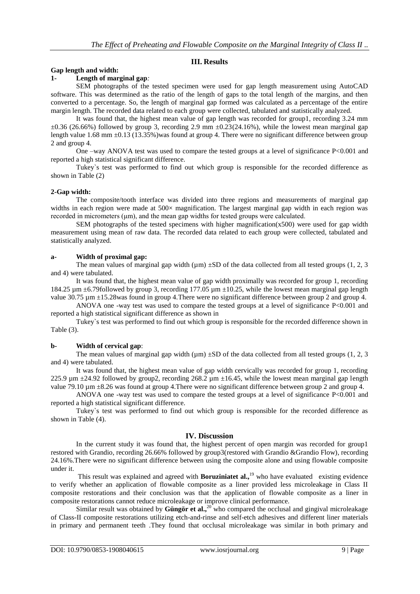### **III. Results**

### **Gap length and width:**

#### **1- Length of marginal gap***:*

SEM photographs of the tested specimen were used for gap length measurement using AutoCAD software. This was determined as the ratio of the length of gaps to the total length of the margins, and then converted to a percentage. So, the length of marginal gap formed was calculated as a percentage of the entire margin length. The recorded data related to each group were collected, tabulated and statistically analyzed.

It was found that, the highest mean value of gap length was recorded for group1, recording 3.24 mm  $\pm 0.36$  (26.66%) followed by group 3, recording 2.9 mm  $\pm 0.23$  (24.16%), while the lowest mean marginal gap length value 1.68 mm  $\pm 0.13$  (13.35%) was found at group 4. There were no significant difference between group 2 and group 4.

One –way ANOVA test was used to compare the tested groups at a level of significance  $P < 0.001$  and reported a high statistical significant difference.

Tukey`s test was performed to find out which group is responsible for the recorded difference as shown in Table (2)

#### **2-Gap width:**

The composite/tooth interface was divided into three regions and measurements of marginal gap widths in each region were made at 500 $\times$  magnification. The largest marginal gap width in each region was recorded in micrometers (μm), and the mean gap widths for tested groups were calculated.

SEM photographs of the tested specimens with higher magnification( $x500$ ) were used for gap width measurement using mean of raw data. The recorded data related to each group were collected, tabulated and statistically analyzed.

#### **a- Width of proximal gap:**

The mean values of marginal gap width ( $\mu$ m)  $\pm SD$  of the data collected from all tested groups (1, 2, 3) and 4) were tabulated.

It was found that, the highest mean value of gap width proximally was recorded for group 1, recording 184.25  $\mu$ m  $\pm$ 6.79followed by group 3, recording 177.05  $\mu$ m  $\pm$ 10.25, while the lowest mean marginal gap length value 30.75  $\mu$ m  $\pm$ 15.28was found in group 4. There were no significant difference between group 2 and group 4.

ANOVA one -way test was used to compare the tested groups at a level of significance P<0.001 and reported a high statistical significant difference as shown in

Tukey`s test was performed to find out which group is responsible for the recorded difference shown in Table (3).

#### **b- Width of cervical gap**:

The mean values of marginal gap width ( $\mu$ m)  $\pm$ SD of the data collected from all tested groups (1, 2, 3) and 4) were tabulated.

It was found that, the highest mean value of gap width cervically was recorded for group 1, recording 225.9  $\mu$ m  $\pm$ 24.92 followed by group2, recording 268.2  $\mu$ m  $\pm$ 16.45, while the lowest mean marginal gap length value 79.10  $\mu$ m  $\pm$ 8.26 was found at group 4. There were no significant difference between group 2 and group 4.

ANOVA one -way test was used to compare the tested groups at a level of significance P<0.001 and reported a high statistical significant difference.

Tukey`s test was performed to find out which group is responsible for the recorded difference as shown in Table (4).

#### **IV. Discussion**

In the current study it was found that, the highest percent of open margin was recorded for group1 restored with Grandio, recording 26.66% followed by group3(restored with Grandio &Grandio Flow), recording 24.16%.There were no significant difference between using the composite alone and using flowable composite under it.

This result was explained and agreed with **Boruziniatet al.**<sup>19</sup> who have evaluated existing evidence to verify whether an application of flowable composite as a liner provided less microleakage in Class II composite restorations and their conclusion was that the application of flowable composite as a liner in composite restorations cannot reduce microleakage or improve clinical performance.

Similar result was obtained by **Güngör et al.,**<sup>20</sup> who compared the occlusal and gingival microleakage of Class-II composite restorations utilizing etch-and-rinse and self-etch adhesives and different liner materials in primary and permanent teeth .They found that occlusal microleakage was similar in both primary and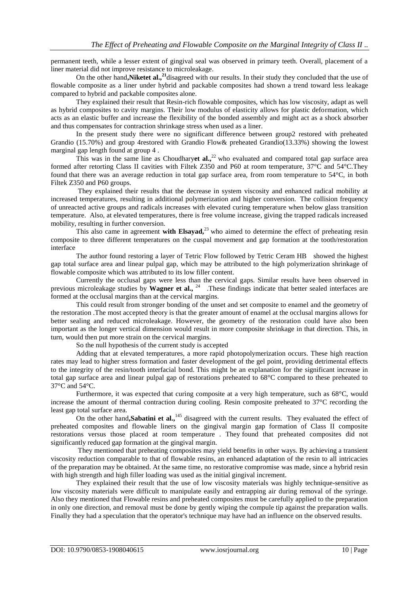permanent teeth, while a lesser extent of gingival seal was observed in primary teeth. Overall, placement of a liner material did not improve resistance to microleakage.

On the other hand**,Niketet al.,<sup>21</sup>**disagreed with our results. In their study they concluded that the use of flowable composite as a liner under hybrid and packable composites had shown a trend toward less leakage compared to hybrid and packable composites alone.

They explained their result that Resin-rich flowable composites, which has low viscosity, adapt as well as hybrid composites to cavity margins. Their low modulus of elasticity allows for plastic deformation, which acts as an elastic buffer and increase the flexibility of the bonded assembly and might act as a shock absorber and thus compensates for contraction shrinkage stress when used as a liner.

In the present study there were no significant difference between group2 restored with preheated Grandio (15.70%) and group 4restored with Grandio Flow& preheated Grandio(13.33%) showing the lowest marginal gap length found at group 4 .

This was in the same line as Choudharyet al.,<sup>22</sup> who evaluated and compared total gap surface area formed after retorting Class II cavities with Filtek Z350 and P60 at room temperature, 37°C and 54°C.They found that there was an average reduction in total gap surface area, from room temperature to 54°C, in both Filtek Z350 and P60 groups.

They explained their results that the decrease in system viscosity and enhanced radical mobility at increased temperatures, resulting in additional polymerization and higher conversion. The collision frequency of unreacted active groups and radicals increases with elevated curing temperature when below glass transition temperature. Also, at elevated temperatures, there is free volume increase, giving the trapped radicals increased mobility, resulting in further conversion.

This also came in agreement **with Elsayad,**<sup>23</sup>who aimed to determine the effect of preheating resin composite to three different temperatures on the cuspal movement and gap formation at the tooth/restoration interface

The author found restoring a layer of Tetric Flow followed by Tetric Ceram HB showed the highest gap total surface area and linear pulpal gap, which may be attributed to the high polymerization shrinkage of flowable composite which was attributed to its low filler content.

Currently the occlusal gaps were less than the cervical gaps. Similar results have been observed in previous microleakage studies by Wagner et al., <sup>24</sup> .These findings indicate that better sealed interfaces are formed at the occlusal margins than at the cervical margins.

This could result from stronger bonding of the unset and set composite to enamel and the geometry of the restoration .The most accepted theory is that the greater amount of enamel at the occlusal margins allows for better sealing and reduced microleakage. However, the geometry of the restoration could have also been important as the longer vertical dimension would result in more composite shrinkage in that direction. This, in turn, would then put more strain on the cervical margins.

So the null hypothesis of the current study is accepted

Adding that at elevated temperatures, a more rapid photopolymerization occurs. These high reaction rates may lead to higher stress formation and faster development of the gel point, providing detrimental effects to the integrity of the resin/tooth interfacial bond. This might be an explanation for the significant increase in total gap surface area and linear pulpal gap of restorations preheated to 68°C compared to these preheated to 37°C and 54°C.

Furthermore, it was expected that curing composite at a very high temperature, such as 68°C, would increase the amount of thermal contraction during cooling. Resin composite preheated to 37°C recording the least gap total surface area.

On the other hand, Sabatini et al.,<sup>145</sup> disagreed with the current results. They evaluated the effect of preheated composites and flowable liners on the gingival margin gap formation of Class II composite restorations versus those placed at room temperature . They found that preheated composites did not significantly reduced gap formation at the gingival margin.

They mentioned that preheating composites may yield benefits in other ways. By achieving a transient viscosity reduction comparable to that of flowable resins, an enhanced adaptation of the resin to all intricacies of the preparation may be obtained. At the same time, no restorative compromise was made, since a hybrid resin with high strength and high filler loading was used as the initial gingival increment.

They explained their result that the use of low viscosity materials was highly technique-sensitive as low viscosity materials were difficult to manipulate easily and entrapping air during removal of the syringe. Also they mentioned that Flowable resins and preheated composites must be carefully applied to the preparation in only one direction, and removal must be done by gently wiping the compule tip against the preparation walls. Finally they had a speculation that the operator's technique may have had an influence on the observed results.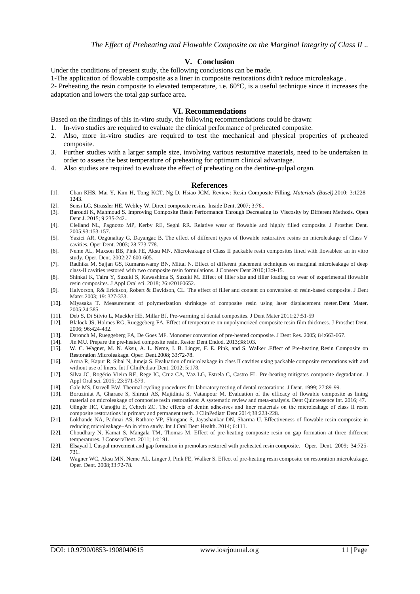#### **V. Conclusion**

Under the conditions of present study, the following conclusions can be made.

1-The application of flowable composite as a liner in composite restorations didn't reduce microleakage .

2- Preheating the resin composite to elevated temperature, i.e. 60°C, is a useful technique since it increases the adaptation and lowers the total gap surface area.

#### **VI. Recommendations**

Based on the findings of this in-vitro study, the following recommendations could be drawn:

- 1. In-vivo studies are required to evaluate the clinical performance of preheated composite.
- 2. Also, more in-vitro studies are required to test the mechanical and physical properties of preheated composite.
- 3. Further studies with a larger sample size, involving various restorative materials, need to be undertaken in order to assess the best temperature of preheating for optimum clinical advantage.
- 4. Also studies are required to evaluate the effect of preheating on the dentine-pulpal organ.

#### **References**

- [1]. Chan KHS, Mai Y, Kim H, Tong KCT, Ng D, Hsiao JCM. Review: Resin Composite Filling. *Materials (Basel)*.2010; 3:1228– 1243.
- [2]. Sensi LG, Strassler HE, Webley W. Direct composite resins. Inside Dent. 2007; 3:76..
- [3]. Baroudi K, Mahmoud S. Improving Composite Resin Performance Through Decreasing its Viscosity by Different Methods. Open Dent J. 2015; 9:235-242..
- [4]. Clelland NL, Pagnotto MP, Kerby RE, Seghi RR. Relative wear of flowable and highly filled composite. J Prosthet Dent. 2005;93:153-157.
- [5]. Yazici AR, Ozgünaltay G, Dayangac B. The effect of different types of flowable restorative resins on microleakage of Class V cavities. Oper Dent. 2003; 28:773-778.
- [6]. Neme AL, Maxson BB, Pink FE, Aksu MN. Microleakage of Class II packable resin composites lined with flowables: an in vitro study. Oper. Dent. 2002;27:600-605.
- [7]. Radhika M, Sajjan GS, Kumaraswamy BN, Mittal N. Effect of different placement techniques on marginal microleakage of deep class-II cavities restored with two composite resin formulations. J Conserv Dent 2010;13:9-15.
- [8]. Shinkai K, Taira Y, Suzuki S, Kawashima S, Suzuki M. Effect of filler size and filler loading on wear of experimental flowable resin composites. J Appl Oral sci. 2018; 26:e20160652.
- [9]. Halvorson, R& Erickson, Robert & Davidson, CL. The effect of filler and content on conversion of resin-based composite. J Dent Mater.2003; 19: 327-333.
- [10]. Miyasaka T. Measurement of polymerization shrinkage of composite resin using laser displacement meter.Dent Mater. 2005;24:385.
- [11]. Deb S, Di Silvio L, Mackler HE, Millar BJ. Pre-warming of dental composites. J Dent Mater 2011;27:51-59
- [12]. Blalock JS, Holmes RG, Rueggeberg FA. Effect of temperature on unpolymerized composite resin film thickness. J Prosthet Dent. 2006; 96:424-432.
- [13]. Daronch M, Rueggeberg FA, De Goes MF. Monomer conversion of pre-heated composite. J Dent Res. 2005; 84:663-667.
- [14]. Jin MU. Prepare the pre-heated composite resin. Restor Dent Endod. 2013;38:103.
- [15]. W. C. Wagner, M. N. Aksu, A. L. Neme, J. B. Linger, F. E. Pink, and S. Walker .Effect of Pre-heating Resin Composite on Restoration Microleakage. Oper. Dent.2008; 33:72-78.
- [16]. Arora R, Kapur R, Sibal N, Juneja S. Evaluation of microleakage in class II cavities using packable composite restorations with and without use of liners. Int J ClinPediatr Dent. 2012; 5:178.
- [17]. Silva JC, Rogério Vieira RE, Rege IC, Cruz CA, Vaz LG, Estrela C, Castro FL. Pre-heating mitigates composite degradation. J Appl Oral sci. 2015; 23:571-579.
- [18]. Gale MS, Darvell BW. Thermal cycling procedures for laboratory testing of dental restorations. J Dent. 1999; 27:89-99.
- [19]. Boruziniat A, Gharaee S, Shirazi AS, Majidinia S, Vatanpour M. Evaluation of the efficacy of flowable composite as lining material on microleakage of composite resin restorations: A systematic review and meta-analysis. Dent Quintessence Int. 2016; 47.
- [20]. Güngör HC, Canoğlu E, Cehreli ZC. The effects of dentin adhesives and liner materials on the microleakage of class II resin composite restorations in primary and permanent teeth. J ClinPediatr Dent 2014;38:223-228.
- [21]. Lokhande NA, Padmai AS, Rathore VP, Shingane S, Jayashankar DN, Sharma U. Effectiveness of flowable resin composite in reducing microleakage–An in vitro study. Int J Oral Dent Health. 2014; 6:111.
- [22]. Choudhary N, Kamat S, Mangala TM, Thomas M. Effect of pre-heating composite resin on gap formation at three different temperatures. J ConservDent. 2011; 14:191.
- [23]. Elsayad I. Cuspal movement and gap formation in premolars restored with preheated resin composite. Oper. Dent. 2009; 34:725- 731.
- [24]. Wagner WC, Aksu MN, Neme AL, Linger J, Pink FE, Walker S. Effect of pre-heating resin composite on restoration microleakage. Oper. Dent. 2008;33:72-78.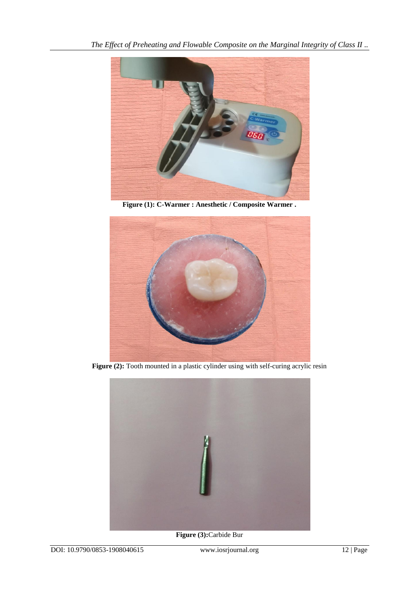

**Figure (1): C-Warmer : Anesthetic / Composite Warmer .**



Figure (2): Tooth mounted in a plastic cylinder using with self-curing acrylic resin



**Figure (3):**Carbide Bur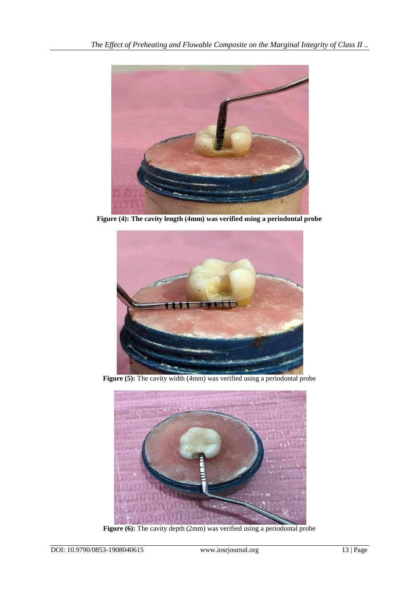

**Figure (4): The cavity length (4mm) was verified using a periodontal probe**



Figure (5): The cavity width (4mm) was verified using a periodontal probe



Figure (6): The cavity depth (2mm) was verified using a periodontal probe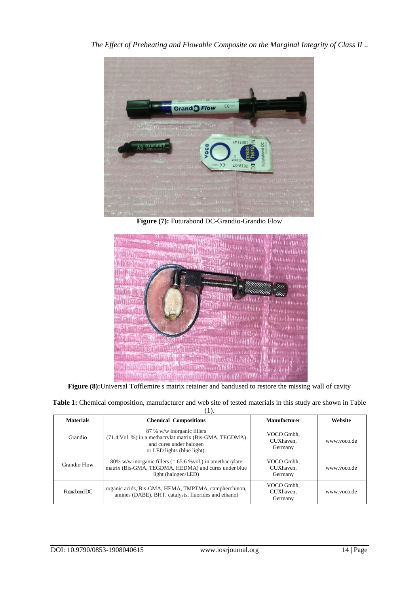

**Figure (7):** Futurabond DC-Grandio-Grandio Flow



Figure (8): Universal Tofflemire s matrix retainer and bandused to restore the missing wall of cavity

**Table 1:** Chemical composition, manufacturer and web site of tested materials in this study are shown in Table (1).

| <b>Materials</b> | <b>Chemical Compositions</b>                                                                                                                    | <b>Manufacturer</b>                | Website     |
|------------------|-------------------------------------------------------------------------------------------------------------------------------------------------|------------------------------------|-------------|
| Grandio          | 87 % w/w inorganic fillers<br>(71.4 Vol. %) in a methacrylat matrix (Bis-GMA, TEGDMA)<br>and cures under halogen<br>or LED lights (blue light). | VOCO Gmbh.<br>CUXhaven.<br>Germany | www.voco.de |
| Grandio Flow     | 80% w/w inorganic fillers $(= 65.6$ % vol.) in amethacrylate<br>matrix (Bis-GMA, TEGDMA, HEDMA) and cures under blue<br>light (halogen/LED)     | VOCO Gmbh.<br>CUXhaven.<br>Germany | www.yoco.de |
| Futurabond DC    | organic acids, Bis-GMA, HEMA, TMPTMA, campherchinon,<br>amines (DABE), BHT, catalysts, fluorides and ethanol                                    | VOCO Gmbh.<br>CUXhaven.<br>Germany | www.yoco.de |